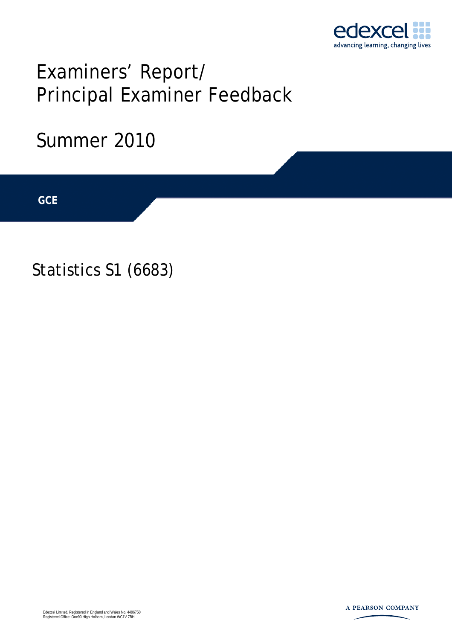

# Examiners' Report/ Principal Examiner Feedback

## Summer 2010

**IGCSE GCE** 

Statistics S1 (6683)

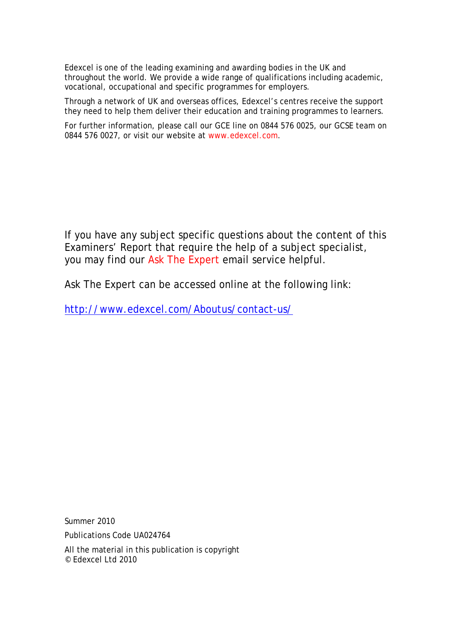Edexcel is one of the leading examining and awarding bodies in the UK and throughout the world. We provide a wide range of qualifications including academic, vocational, occupational and specific programmes for employers.

Through a network of UK and overseas offices, Edexcel's centres receive the support they need to help them deliver their education and training programmes to learners.

For further information, please call our GCE line on 0844 576 0025, our GCSE team on 0844 576 0027, or visit our website at www.edexcel.com.

If you have any subject specific questions about the content of this Examiners' Report that require the help of a subject specialist, you may find our Ask The Expert email service helpful.

Ask The Expert can be accessed online at the following link:

http://www.edexcel.com/Aboutus/contact-us/

Summer 2010

Publications Code UA024764

All the material in this publication is copyright © Edexcel Ltd 2010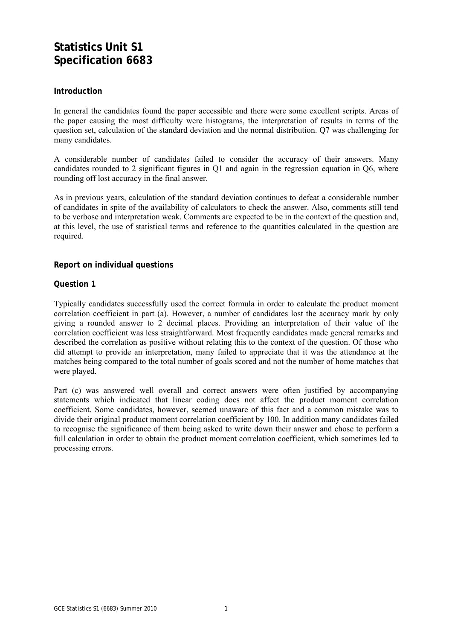### **Statistics Unit S1 Specification 6683**

#### **Introduction**

In general the candidates found the paper accessible and there were some excellent scripts. Areas of the paper causing the most difficulty were histograms, the interpretation of results in terms of the question set, calculation of the standard deviation and the normal distribution. Q7 was challenging for many candidates.

A considerable number of candidates failed to consider the accuracy of their answers. Many candidates rounded to 2 significant figures in Q1 and again in the regression equation in Q6, where rounding off lost accuracy in the final answer.

As in previous years, calculation of the standard deviation continues to defeat a considerable number of candidates in spite of the availability of calculators to check the answer. Also, comments still tend to be verbose and interpretation weak. Comments are expected to be in the context of the question and, at this level, the use of statistical terms and reference to the quantities calculated in the question are required.

#### **Report on individual questions**

#### **Question 1**

Typically candidates successfully used the correct formula in order to calculate the product moment correlation coefficient in part (a). However, a number of candidates lost the accuracy mark by only giving a rounded answer to 2 decimal places. Providing an interpretation of their value of the correlation coefficient was less straightforward. Most frequently candidates made general remarks and described the correlation as positive without relating this to the context of the question. Of those who did attempt to provide an interpretation, many failed to appreciate that it was the attendance at the matches being compared to the total number of goals scored and not the number of home matches that were played.

Part (c) was answered well overall and correct answers were often justified by accompanying statements which indicated that linear coding does not affect the product moment correlation coefficient. Some candidates, however, seemed unaware of this fact and a common mistake was to divide their original product moment correlation coefficient by 100. In addition many candidates failed to recognise the significance of them being asked to write down their answer and chose to perform a full calculation in order to obtain the product moment correlation coefficient, which sometimes led to processing errors.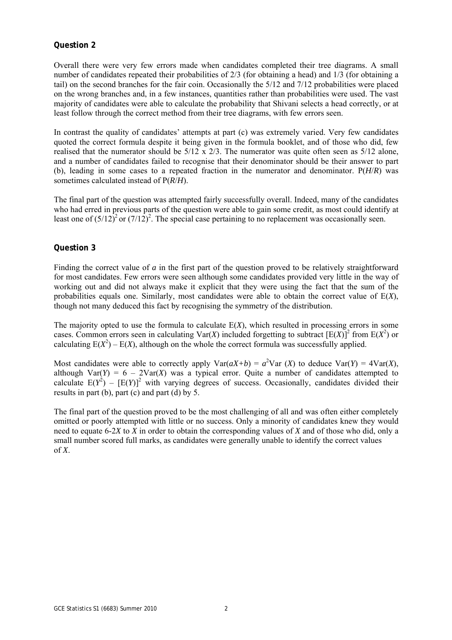Overall there were very few errors made when candidates completed their tree diagrams. A small number of candidates repeated their probabilities of 2/3 (for obtaining a head) and 1/3 (for obtaining a tail) on the second branches for the fair coin. Occasionally the 5/12 and 7/12 probabilities were placed on the wrong branches and, in a few instances, quantities rather than probabilities were used. The vast majority of candidates were able to calculate the probability that Shivani selects a head correctly, or at least follow through the correct method from their tree diagrams, with few errors seen.

In contrast the quality of candidates' attempts at part (c) was extremely varied. Very few candidates quoted the correct formula despite it being given in the formula booklet, and of those who did, few realised that the numerator should be 5/12 x 2/3. The numerator was quite often seen as 5/12 alone, and a number of candidates failed to recognise that their denominator should be their answer to part (b), leading in some cases to a repeated fraction in the numerator and denominator. P(*H*/*R*) was sometimes calculated instead of P(*R*/*H*).

The final part of the question was attempted fairly successfully overall. Indeed, many of the candidates who had erred in previous parts of the question were able to gain some credit, as most could identify at least one of  $(5/12)^2$  or  $(7/12)^2$ . The special case pertaining to no replacement was occasionally seen.

#### **Question 3**

Finding the correct value of *a* in the first part of the question proved to be relatively straightforward for most candidates. Few errors were seen although some candidates provided very little in the way of working out and did not always make it explicit that they were using the fact that the sum of the probabilities equals one. Similarly, most candidates were able to obtain the correct value of E(*X*), though not many deduced this fact by recognising the symmetry of the distribution.

The majority opted to use the formula to calculate E(*X*), which resulted in processing errors in some cases. Common errors seen in calculating  $Var(X)$  included forgetting to subtract  $[ E(X) ]^2$  from  $E(X^2)$  or calculating  $E(X^2) - E(X)$ , although on the whole the correct formula was successfully applied.

Most candidates were able to correctly apply  $Var(aX+b) = a^2Var(X)$  to deduce  $Var(Y) = 4Var(X)$ , although  $Var(Y) = 6 - 2Var(X)$  was a typical error. Quite a number of candidates attempted to calculate  $E(Y^2) - [E(Y)]^2$  with varying degrees of success. Occasionally, candidates divided their results in part (b), part (c) and part (d) by 5.

The final part of the question proved to be the most challenging of all and was often either completely omitted or poorly attempted with little or no success. Only a minority of candidates knew they would need to equate 6-2*X* to *X* in order to obtain the corresponding values of *X* and of those who did, only a small number scored full marks, as candidates were generally unable to identify the correct values of *X*.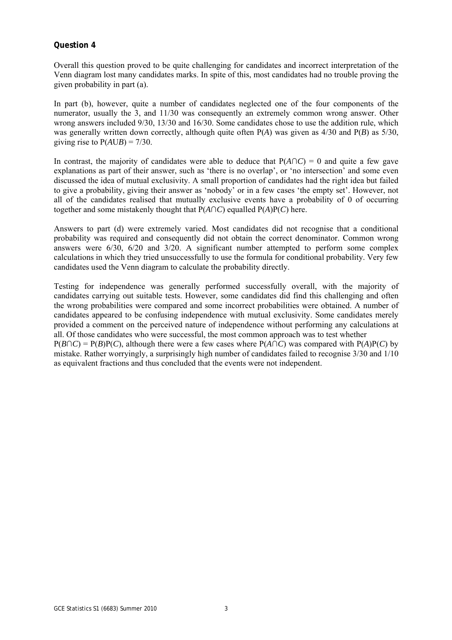Overall this question proved to be quite challenging for candidates and incorrect interpretation of the Venn diagram lost many candidates marks. In spite of this, most candidates had no trouble proving the given probability in part (a).

In part (b), however, quite a number of candidates neglected one of the four components of the numerator, usually the 3, and 11/30 was consequently an extremely common wrong answer. Other wrong answers included 9/30, 13/30 and 16/30. Some candidates chose to use the addition rule, which was generally written down correctly, although quite often P(*A*) was given as 4/30 and P(*B*) as 5/30, giving rise to  $P(AUB) = 7/30$ .

In contrast, the majority of candidates were able to deduce that  $P(A \cap C) = 0$  and quite a few gave explanations as part of their answer, such as 'there is no overlap', or 'no intersection' and some even discussed the idea of mutual exclusivity. A small proportion of candidates had the right idea but failed to give a probability, giving their answer as 'nobody' or in a few cases 'the empty set'. However, not all of the candidates realised that mutually exclusive events have a probability of 0 of occurring together and some mistakenly thought that  $P(A \cap C)$  equalled  $P(A)P(C)$  here.

Answers to part (d) were extremely varied. Most candidates did not recognise that a conditional probability was required and consequently did not obtain the correct denominator. Common wrong answers were  $6/30$ ,  $6/20$  and  $3/20$ . A significant number attempted to perform some complex calculations in which they tried unsuccessfully to use the formula for conditional probability. Very few candidates used the Venn diagram to calculate the probability directly.

Testing for independence was generally performed successfully overall, with the majority of candidates carrying out suitable tests. However, some candidates did find this challenging and often the wrong probabilities were compared and some incorrect probabilities were obtained. A number of candidates appeared to be confusing independence with mutual exclusivity. Some candidates merely provided a comment on the perceived nature of independence without performing any calculations at all. Of those candidates who were successful, the most common approach was to test whether  $P(B \cap C) = P(B)P(C)$ , although there were a few cases where  $P(A \cap C)$  was compared with  $P(A)P(C)$  by mistake. Rather worryingly, a surprisingly high number of candidates failed to recognise 3/30 and 1/10 as equivalent fractions and thus concluded that the events were not independent.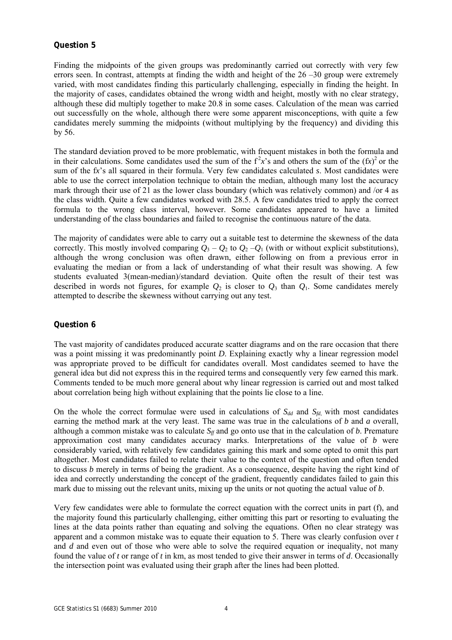Finding the midpoints of the given groups was predominantly carried out correctly with very few errors seen. In contrast, attempts at finding the width and height of the  $26 - 30$  group were extremely varied, with most candidates finding this particularly challenging, especially in finding the height. In the majority of cases, candidates obtained the wrong width and height, mostly with no clear strategy, although these did multiply together to make 20.8 in some cases. Calculation of the mean was carried out successfully on the whole, although there were some apparent misconceptions, with quite a few candidates merely summing the midpoints (without multiplying by the frequency) and dividing this by 56.

The standard deviation proved to be more problematic, with frequent mistakes in both the formula and in their calculations. Some candidates used the sum of the  $f^2x$ 's and others the sum of the  $(fx)^2$  or the sum of the f*x*'s all squared in their formula. Very few candidates calculated *s*. Most candidates were able to use the correct interpolation technique to obtain the median, although many lost the accuracy mark through their use of 21 as the lower class boundary (which was relatively common) and /or 4 as the class width. Quite a few candidates worked with 28.5. A few candidates tried to apply the correct formula to the wrong class interval, however. Some candidates appeared to have a limited understanding of the class boundaries and failed to recognise the continuous nature of the data.

The majority of candidates were able to carry out a suitable test to determine the skewness of the data correctly. This mostly involved comparing  $Q_3 - Q_2$  to  $Q_2 - Q_1$  (with or without explicit substitutions), although the wrong conclusion was often drawn, either following on from a previous error in evaluating the median or from a lack of understanding of what their result was showing. A few students evaluated 3(mean-median)/standard deviation. Quite often the result of their test was described in words not figures, for example  $Q_2$  is closer to  $Q_3$  than  $Q_1$ . Some candidates merely attempted to describe the skewness without carrying out any test.

#### **Question 6**

The vast majority of candidates produced accurate scatter diagrams and on the rare occasion that there was a point missing it was predominantly point *D*. Explaining exactly why a linear regression model was appropriate proved to be difficult for candidates overall. Most candidates seemed to have the general idea but did not express this in the required terms and consequently very few earned this mark. Comments tended to be much more general about why linear regression is carried out and most talked about correlation being high without explaining that the points lie close to a line.

On the whole the correct formulae were used in calculations of  $S_{dd}$  and  $S_{fd}$ , with most candidates earning the method mark at the very least. The same was true in the calculations of *b* and *a* overall, although a common mistake was to calculate  $S_f$  and go onto use that in the calculation of *b*. Premature approximation cost many candidates accuracy marks. Interpretations of the value of *b* were considerably varied, with relatively few candidates gaining this mark and some opted to omit this part altogether. Most candidates failed to relate their value to the context of the question and often tended to discuss *b* merely in terms of being the gradient. As a consequence, despite having the right kind of idea and correctly understanding the concept of the gradient, frequently candidates failed to gain this mark due to missing out the relevant units, mixing up the units or not quoting the actual value of *b*.

Very few candidates were able to formulate the correct equation with the correct units in part (f), and the majority found this particularly challenging, either omitting this part or resorting to evaluating the lines at the data points rather than equating and solving the equations. Often no clear strategy was apparent and a common mistake was to equate their equation to 5. There was clearly confusion over *t* and *d* and even out of those who were able to solve the required equation or inequality, not many found the value of *t* or range of *t* in km, as most tended to give their answer in terms of *d*. Occasionally the intersection point was evaluated using their graph after the lines had been plotted.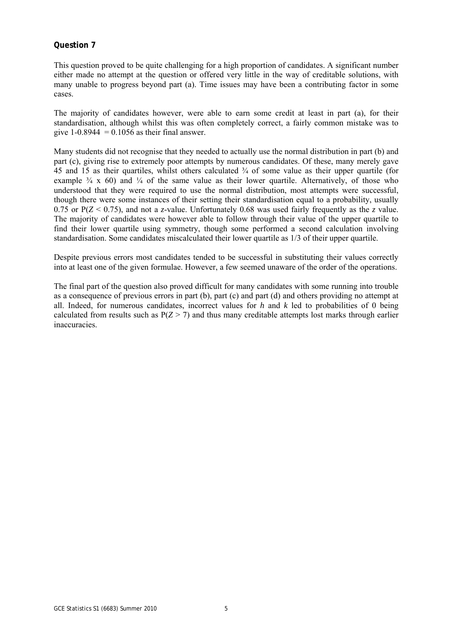This question proved to be quite challenging for a high proportion of candidates. A significant number either made no attempt at the question or offered very little in the way of creditable solutions, with many unable to progress beyond part (a). Time issues may have been a contributing factor in some cases.

The majority of candidates however, were able to earn some credit at least in part (a), for their standardisation, although whilst this was often completely correct, a fairly common mistake was to give 1-0.8944 =  $0.1056$  as their final answer.

Many students did not recognise that they needed to actually use the normal distribution in part (b) and part (c), giving rise to extremely poor attempts by numerous candidates. Of these, many merely gave 45 and 15 as their quartiles, whilst others calculated ¾ of some value as their upper quartile (for example  $\frac{3}{4}$  x 60) and  $\frac{1}{4}$  of the same value as their lower quartile. Alternatively, of those who understood that they were required to use the normal distribution, most attempts were successful, though there were some instances of their setting their standardisation equal to a probability, usually 0.75 or  $P(Z \le 0.75)$ , and not a *z*-value. Unfortunately 0.68 was used fairly frequently as the *z* value. The majority of candidates were however able to follow through their value of the upper quartile to find their lower quartile using symmetry, though some performed a second calculation involving standardisation. Some candidates miscalculated their lower quartile as 1/3 of their upper quartile.

Despite previous errors most candidates tended to be successful in substituting their values correctly into at least one of the given formulae. However, a few seemed unaware of the order of the operations.

The final part of the question also proved difficult for many candidates with some running into trouble as a consequence of previous errors in part (b), part (c) and part (d) and others providing no attempt at all. Indeed, for numerous candidates, incorrect values for *h* and *k* led to probabilities of 0 being calculated from results such as  $P(Z > 7)$  and thus many creditable attempts lost marks through earlier inaccuracies.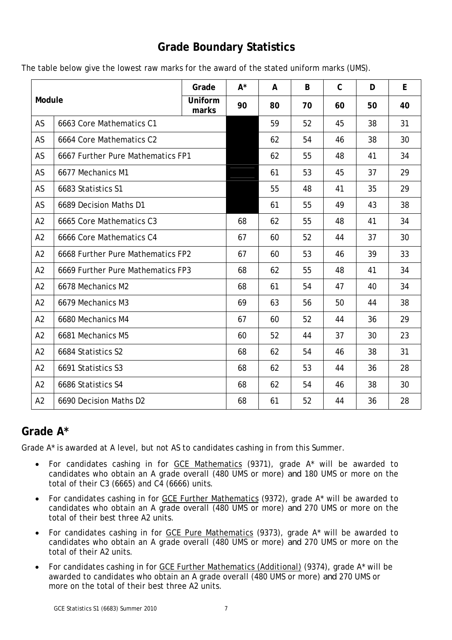## **Grade Boundary Statistics**

|  |  | The table below give the lowest raw marks for the award of the stated uniform marks (UMS). |
|--|--|--------------------------------------------------------------------------------------------|
|--|--|--------------------------------------------------------------------------------------------|

| Module         |                                   | Grade            | $A^*$ | A  | B  | $\mathsf C$ | D  | E  |
|----------------|-----------------------------------|------------------|-------|----|----|-------------|----|----|
|                |                                   | Uniform<br>marks | 90    | 80 | 70 | 60          | 50 | 40 |
| AS             | 6663 Core Mathematics C1          |                  |       | 59 | 52 | 45          | 38 | 31 |
| AS             | 6664 Core Mathematics C2          |                  |       | 62 | 54 | 46          | 38 | 30 |
| AS             | 6667 Further Pure Mathematics FP1 |                  |       | 62 | 55 | 48          | 41 | 34 |
| AS             | 6677 Mechanics M1                 |                  |       | 61 | 53 | 45          | 37 | 29 |
| AS             | 6683 Statistics S1                |                  |       | 55 | 48 | 41          | 35 | 29 |
| AS             | 6689 Decision Maths D1            |                  |       | 61 | 55 | 49          | 43 | 38 |
| A2             | 6665 Core Mathematics C3          |                  | 68    | 62 | 55 | 48          | 41 | 34 |
| A2             | 6666 Core Mathematics C4          |                  | 67    | 60 | 52 | 44          | 37 | 30 |
| A2             | 6668 Further Pure Mathematics FP2 |                  | 67    | 60 | 53 | 46          | 39 | 33 |
| A2             | 6669 Further Pure Mathematics FP3 |                  | 68    | 62 | 55 | 48          | 41 | 34 |
| A2             | 6678 Mechanics M2                 |                  | 68    | 61 | 54 | 47          | 40 | 34 |
| A2             | 6679 Mechanics M3                 |                  | 69    | 63 | 56 | 50          | 44 | 38 |
| A2             | 6680 Mechanics M4                 |                  | 67    | 60 | 52 | 44          | 36 | 29 |
| A2             | 6681 Mechanics M5                 |                  | 60    | 52 | 44 | 37          | 30 | 23 |
| A2             | 6684 Statistics S2                |                  | 68    | 62 | 54 | 46          | 38 | 31 |
| A2             | 6691 Statistics S3                |                  | 68    | 62 | 53 | 44          | 36 | 28 |
| A <sub>2</sub> | 6686 Statistics S4                |                  | 68    | 62 | 54 | 46          | 38 | 30 |
| A2             | 6690 Decision Maths D2            |                  | 68    | 61 | 52 | 44          | 36 | 28 |

## **Grade A\***

Grade A\* is awarded at A level, but not AS to candidates cashing in from this Summer.

- For candidates cashing in for GCE Mathematics (9371), grade A\* will be awarded to candidates who obtain an A grade overall (480 UMS or more) *and* 180 UMS or more on the total of their C3 (6665) and C4 (6666) units.
- For candidates cashing in for GCE Further Mathematics (9372), grade A\* will be awarded to candidates who obtain an A grade overall (480 UMS or more) *and* 270 UMS or more on the total of their best three A2 units.
- For candidates cashing in for GCE Pure Mathematics (9373), grade A\* will be awarded to candidates who obtain an A grade overall (480 UMS or more) *and* 270 UMS or more on the total of their A2 units.
- For candidates cashing in for GCE Further Mathematics (Additional) (9374), grade A\* will be awarded to candidates who obtain an A grade overall (480 UMS or more) *and* 270 UMS or more on the total of their best three A2 units.